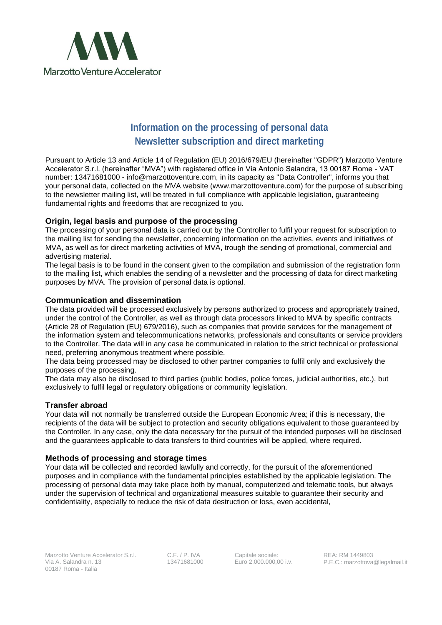

# **Information on the processing of personal data Newsletter subscription and direct marketing**

Pursuant to Article 13 and Article 14 of Regulation (EU) 2016/679/EU (hereinafter "GDPR") Marzotto Venture Accelerator S.r.l. (hereinafter "MVA") with registered office in Via Antonio Salandra, 13 00187 Rome - VAT number: 13471681000 - info@marzottoventure.com, in its capacity as "Data Controller", informs you that your personal data, collected on the MVA website (www.marzottoventure.com) for the purpose of subscribing to the newsletter mailing list, will be treated in full compliance with applicable legislation, guaranteeing fundamental rights and freedoms that are recognized to you.

## **Origin, legal basis and purpose of the processing**

The processing of your personal data is carried out by the Controller to fulfil your request for subscription to the mailing list for sending the newsletter, concerning information on the activities, events and initiatives of MVA, as well as for direct marketing activities of MVA, trough the sending of promotional, commercial and advertising material.

The legal basis is to be found in the consent given to the compilation and submission of the registration form to the mailing list, which enables the sending of a newsletter and the processing of data for direct marketing purposes by MVA. The provision of personal data is optional.

#### **Communication and dissemination**

The data provided will be processed exclusively by persons authorized to process and appropriately trained, under the control of the Controller, as well as through data processors linked to MVA by specific contracts (Article 28 of Regulation (EU) 679/2016), such as companies that provide services for the management of the information system and telecommunications networks, professionals and consultants or service providers to the Controller. The data will in any case be communicated in relation to the strict technical or professional need, preferring anonymous treatment where possible.

The data being processed may be disclosed to other partner companies to fulfil only and exclusively the purposes of the processing.

The data may also be disclosed to third parties (public bodies, police forces, judicial authorities, etc.), but exclusively to fulfil legal or regulatory obligations or community legislation.

#### **Transfer abroad**

Your data will not normally be transferred outside the European Economic Area; if this is necessary, the recipients of the data will be subject to protection and security obligations equivalent to those guaranteed by the Controller. In any case, only the data necessary for the pursuit of the intended purposes will be disclosed and the guarantees applicable to data transfers to third countries will be applied, where required.

#### **Methods of processing and storage times**

Your data will be collected and recorded lawfully and correctly, for the pursuit of the aforementioned purposes and in compliance with the fundamental principles established by the applicable legislation. The processing of personal data may take place both by manual, computerized and telematic tools, but always under the supervision of technical and organizational measures suitable to guarantee their security and confidentiality, especially to reduce the risk of data destruction or loss, even accidental,

C.F. / P. IVA 13471681000

Capitale sociale: Euro 2.000.000,00 i.v.